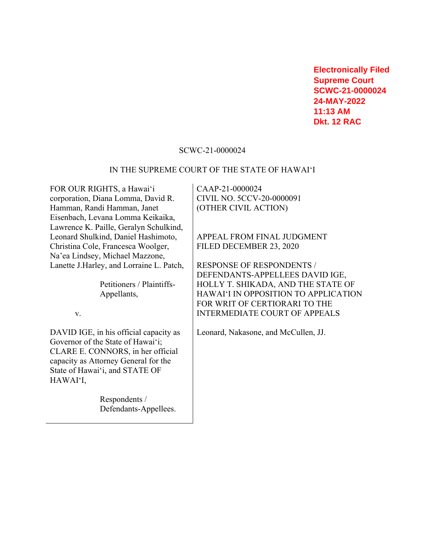**Electronically Filed Supreme Court SCWC-21-0000024 24-MAY-2022 11:13 AM Dkt. 12 RAC**

### SCWC-21-0000024

#### IN THE SUPREME COURT OF THE STATE OF HAWAI'I

FOR OUR RIGHTS, a Hawai'i corporation, Diana Lomma, David R. Hamman, Randi Hamman, Janet Eisenbach, Levana Lomma Keikaika, Lawrence K. Paille, Geralyn Schulkind, Leonard Shulkind, Daniel Hashimoto, Christina Cole, Francesca Woolger, Na'ea Lindsey, Michael Mazzone, Lanette J.Harley, and Lorraine L. Patch,

> Petitioners / Plaintiffs-Appellants,

v.

DAVID IGE, in his official capacity as Governor of the State of Hawai'i; CLARE E. CONNORS, in her official capacity as Attorney General for the State of Hawai'i, and STATE OF HAWAI'I,

> Respondents / Defendants-Appellees.

CAAP-21-0000024 CIVIL NO. 5CCV-20-0000091 (OTHER CIVIL ACTION)

APPEAL FROM FINAL JUDGMENT FILED DECEMBER 23, 2020

RESPONSE OF RESPONDENTS / DEFENDANTS-APPELLEES DAVID IGE, HOLLY T. SHIKADA, AND THE STATE OF HAWAI'I IN OPPOSITION TO APPLICATION FOR WRIT OF CERTIORARI TO THE INTERMEDIATE COURT OF APPEALS

Leonard, Nakasone, and McCullen, JJ.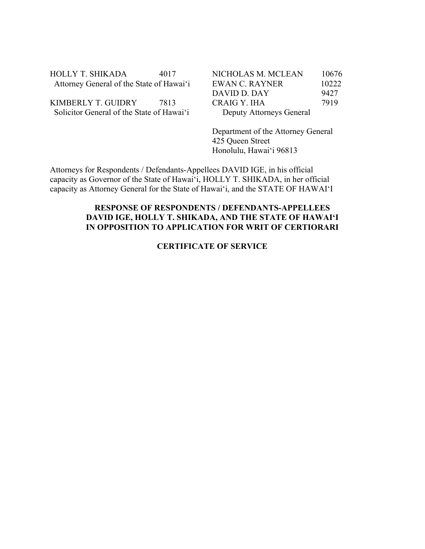| HOLLY T. SHIKADA                         | 4017 |
|------------------------------------------|------|
| Attorney General of the State of Hawai'i |      |

KIMBERLY T. GUIDRY 7813 Solicitor General of the State of Hawai'i

| NICHOLAS M. MCLEAN       | 10676 |
|--------------------------|-------|
| EWAN C. RAYNER           | 10222 |
| DAVID D. DAY             | 9427  |
| CRAIG Y. IHA             | 7919  |
| Deputy Attorneys General |       |

Department of the Attorney General 425 Queen Street Honolulu, Hawai'i 96813

Attorneys for Respondents / Defendants-Appellees DAVID IGE, in his official capacity as Governor of the State of Hawai'i, HOLLY T. SHIKADA, in her official capacity as Attorney General for the State of Hawai'i, and the STATE OF HAWAI'I

# **RESPONSE OF RESPONDENTS / DEFENDANTS-APPELLEES DAVID IGE, HOLLY T. SHIKADA, AND THE STATE OF HAWAI'I IN OPPOSITION TO APPLICATION FOR WRIT OF CERTIORARI**

## **CERTIFICATE OF SERVICE**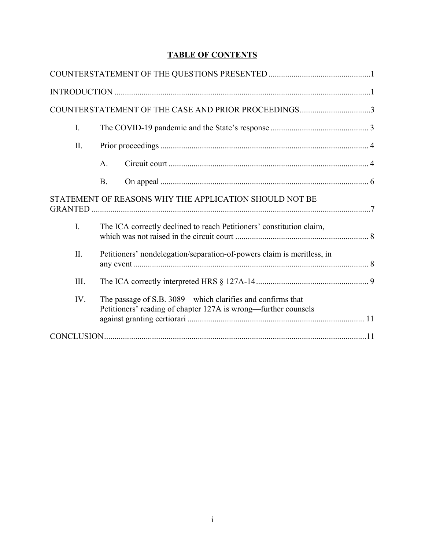# **TABLE OF CONTENTS**

|      | COUNTERSTATEMENT OF THE CASE AND PRIOR PROCEEDINGS3                                                                          |
|------|------------------------------------------------------------------------------------------------------------------------------|
| I.   |                                                                                                                              |
| II.  |                                                                                                                              |
|      | A.                                                                                                                           |
|      | <b>B.</b>                                                                                                                    |
|      | STATEMENT OF REASONS WHY THE APPLICATION SHOULD NOT BE                                                                       |
| I.   | The ICA correctly declined to reach Petitioners' constitution claim,                                                         |
| II.  | Petitioners' nondelegation/separation-of-powers claim is meritless, in                                                       |
| III. |                                                                                                                              |
| IV.  | The passage of S.B. 3089—which clarifies and confirms that<br>Petitioners' reading of chapter 127A is wrong—further counsels |
|      |                                                                                                                              |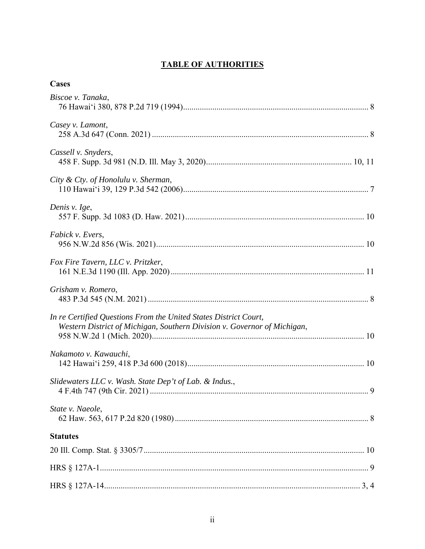# **TABLE OF AUTHORITIES**

| Cases                                                                                                                                        |
|----------------------------------------------------------------------------------------------------------------------------------------------|
| Biscoe v. Tanaka,                                                                                                                            |
| Casey v. Lamont,                                                                                                                             |
| Cassell v. Snyders,                                                                                                                          |
| City & Cty. of Honolulu v. Sherman,                                                                                                          |
| Denis v. Ige,                                                                                                                                |
| Fabick v. Evers,                                                                                                                             |
| Fox Fire Tavern, LLC v. Pritzker,                                                                                                            |
| Grisham v. Romero,                                                                                                                           |
| In re Certified Questions From the United States District Court,<br>Western District of Michigan, Southern Division v. Governor of Michigan, |
| Nakamoto v. Kawauchi,                                                                                                                        |
| Slidewaters LLC v. Wash. State Dep't of Lab. & Indus.,                                                                                       |
| State v. Naeole,                                                                                                                             |
| <b>Statutes</b>                                                                                                                              |
|                                                                                                                                              |
|                                                                                                                                              |
|                                                                                                                                              |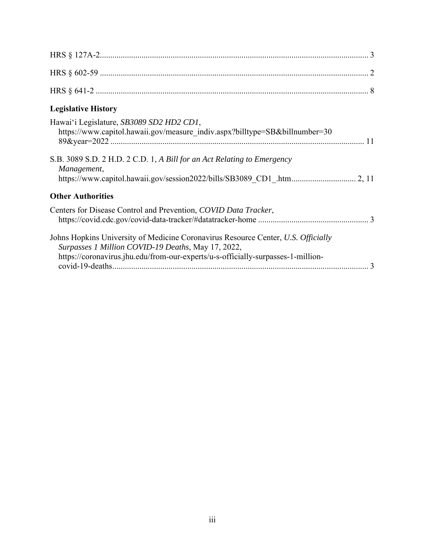| <b>Legislative History</b>                                                                                                                                                                                                  |
|-----------------------------------------------------------------------------------------------------------------------------------------------------------------------------------------------------------------------------|
| Hawai'i Legislature, SB3089 SD2 HD2 CD1,<br>https://www.capitol.hawaii.gov/measure indiv.aspx?billtype=SB&billnumber=30                                                                                                     |
| S.B. 3089 S.D. 2 H.D. 2 C.D. 1, A Bill for an Act Relating to Emergency<br>Management,                                                                                                                                      |
| <b>Other Authorities</b>                                                                                                                                                                                                    |
| Centers for Disease Control and Prevention, COVID Data Tracker,                                                                                                                                                             |
| Johns Hopkins University of Medicine Coronavirus Resource Center, U.S. Officially<br>Surpasses 1 Million COVID-19 Deaths, May 17, 2022,<br>https://coronavirus.jhu.edu/from-our-experts/u-s-officially-surpasses-1-million- |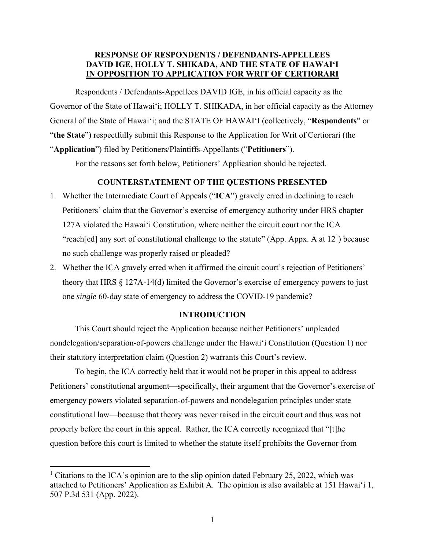## **RESPONSE OF RESPONDENTS / DEFENDANTS-APPELLEES DAVID IGE, HOLLY T. SHIKADA, AND THE STATE OF HAWAI'I IN OPPOSITION TO APPLICATION FOR WRIT OF CERTIORARI**

Respondents / Defendants-Appellees DAVID IGE, in his official capacity as the Governor of the State of Hawai'i; HOLLY T. SHIKADA, in her official capacity as the Attorney General of the State of Hawai'i; and the STATE OF HAWAI'I (collectively, "**Respondents**" or "**the State**") respectfully submit this Response to the Application for Writ of Certiorari (the "**Application**") filed by Petitioners/Plaintiffs-Appellants ("**Petitioners**").

For the reasons set forth below, Petitioners' Application should be rejected.

### **COUNTERSTATEMENT OF THE QUESTIONS PRESENTED**

- 1. Whether the Intermediate Court of Appeals ("**ICA**") gravely erred in declining to reach Petitioners' claim that the Governor's exercise of emergency authority under HRS chapter 127A violated the Hawai'i Constitution, where neither the circuit court nor the ICA "reach[ed] any sort of constitutional challenge to the statute" (App. Appx. A at  $12<sup>1</sup>$ ) because no such challenge was properly raised or pleaded?
- 2. Whether the ICA gravely erred when it affirmed the circuit court's rejection of Petitioners' theory that HRS § 127A-14(d) limited the Governor's exercise of emergency powers to just one *single* 60-day state of emergency to address the COVID-19 pandemic?

#### **INTRODUCTION**

This Court should reject the Application because neither Petitioners' unpleaded nondelegation/separation-of-powers challenge under the Hawai'i Constitution (Question 1) nor their statutory interpretation claim (Question 2) warrants this Court's review.

To begin, the ICA correctly held that it would not be proper in this appeal to address Petitioners' constitutional argument—specifically, their argument that the Governor's exercise of emergency powers violated separation-of-powers and nondelegation principles under state constitutional law—because that theory was never raised in the circuit court and thus was not properly before the court in this appeal. Rather, the ICA correctly recognized that "[t]he question before this court is limited to whether the statute itself prohibits the Governor from

<sup>&</sup>lt;sup>1</sup> Citations to the ICA's opinion are to the slip opinion dated February 25, 2022, which was attached to Petitioners' Application as Exhibit A. The opinion is also available at 151 Hawai'i 1, 507 P.3d 531 (App. 2022).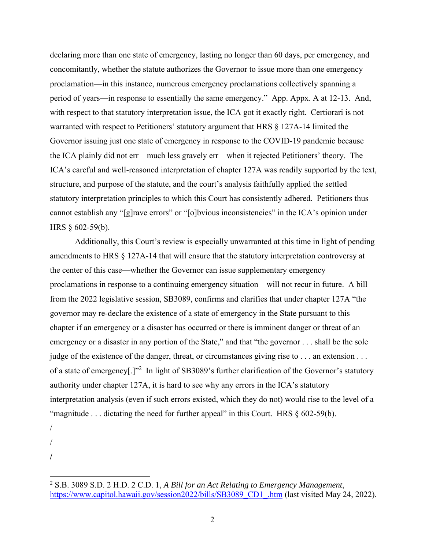declaring more than one state of emergency, lasting no longer than 60 days, per emergency, and concomitantly, whether the statute authorizes the Governor to issue more than one emergency proclamation—in this instance, numerous emergency proclamations collectively spanning a period of years—in response to essentially the same emergency." App. Appx. A at 12-13. And, with respect to that statutory interpretation issue, the ICA got it exactly right. Certiorari is not warranted with respect to Petitioners' statutory argument that HRS § 127A-14 limited the Governor issuing just one state of emergency in response to the COVID-19 pandemic because the ICA plainly did not err—much less gravely err—when it rejected Petitioners' theory. The ICA's careful and well-reasoned interpretation of chapter 127A was readily supported by the text, structure, and purpose of the statute, and the court's analysis faithfully applied the settled statutory interpretation principles to which this Court has consistently adhered. Petitioners thus cannot establish any "[g]rave errors" or "[o]bvious inconsistencies" in the ICA's opinion under HRS § 602-59(b).

Additionally, this Court's review is especially unwarranted at this time in light of pending amendments to HRS § 127A-14 that will ensure that the statutory interpretation controversy at the center of this case—whether the Governor can issue supplementary emergency proclamations in response to a continuing emergency situation—will not recur in future. A bill from the 2022 legislative session, SB3089, confirms and clarifies that under chapter 127A "the governor may re-declare the existence of a state of emergency in the State pursuant to this chapter if an emergency or a disaster has occurred or there is imminent danger or threat of an emergency or a disaster in any portion of the State," and that "the governor . . . shall be the sole judge of the existence of the danger, threat, or circumstances giving rise to . . . an extension . . . of a state of emergency[.]"<sup>2</sup> In light of SB3089's further clarification of the Governor's statutory authority under chapter 127A, it is hard to see why any errors in the ICA's statutory interpretation analysis (even if such errors existed, which they do not) would rise to the level of a "magnitude ... dictating the need for further appeal" in this Court. HRS § 602-59(b).

/

/

**/** 

<sup>2</sup> S.B. 3089 S.D. 2 H.D. 2 C.D. 1, *A Bill for an Act Relating to Emergency Management*, https://www.capitol.hawaii.gov/session2022/bills/SB3089\_CD1\_.htm (last visited May 24, 2022).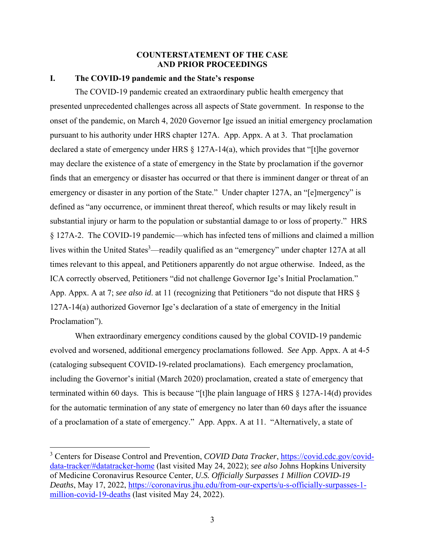## **COUNTERSTATEMENT OF THE CASE AND PRIOR PROCEEDINGS**

#### **I. The COVID-19 pandemic and the State's response**

The COVID-19 pandemic created an extraordinary public health emergency that presented unprecedented challenges across all aspects of State government. In response to the onset of the pandemic, on March 4, 2020 Governor Ige issued an initial emergency proclamation pursuant to his authority under HRS chapter 127A. App. Appx. A at 3. That proclamation declared a state of emergency under HRS § 127A-14(a), which provides that "[t]he governor may declare the existence of a state of emergency in the State by proclamation if the governor finds that an emergency or disaster has occurred or that there is imminent danger or threat of an emergency or disaster in any portion of the State." Under chapter 127A, an "[e]mergency" is defined as "any occurrence, or imminent threat thereof, which results or may likely result in substantial injury or harm to the population or substantial damage to or loss of property." HRS § 127A-2. The COVID-19 pandemic—which has infected tens of millions and claimed a million lives within the United States<sup>3</sup>—readily qualified as an "emergency" under chapter 127A at all times relevant to this appeal, and Petitioners apparently do not argue otherwise. Indeed, as the ICA correctly observed, Petitioners "did not challenge Governor Ige's Initial Proclamation." App. Appx. A at 7; *see also id*. at 11 (recognizing that Petitioners "do not dispute that HRS § 127A-14(a) authorized Governor Ige's declaration of a state of emergency in the Initial Proclamation").

When extraordinary emergency conditions caused by the global COVID-19 pandemic evolved and worsened, additional emergency proclamations followed. *See* App. Appx. A at 4-5 (cataloging subsequent COVID-19-related proclamations). Each emergency proclamation, including the Governor's initial (March 2020) proclamation, created a state of emergency that terminated within 60 days. This is because "[t]he plain language of HRS § 127A-14(d) provides for the automatic termination of any state of emergency no later than 60 days after the issuance of a proclamation of a state of emergency." App. Appx. A at 11. "Alternatively, a state of

<sup>&</sup>lt;sup>3</sup> Centers for Disease Control and Prevention, *COVID Data Tracker*, https://covid.cdc.gov/coviddata-tracker/#datatracker-home (last visited May 24, 2022); *see also* Johns Hopkins University of Medicine Coronavirus Resource Center, *U.S. Officially Surpasses 1 Million COVID-19 Deaths*, May 17, 2022, https://coronavirus.jhu.edu/from-our-experts/u-s-officially-surpasses-1 million-covid-19-deaths (last visited May 24, 2022).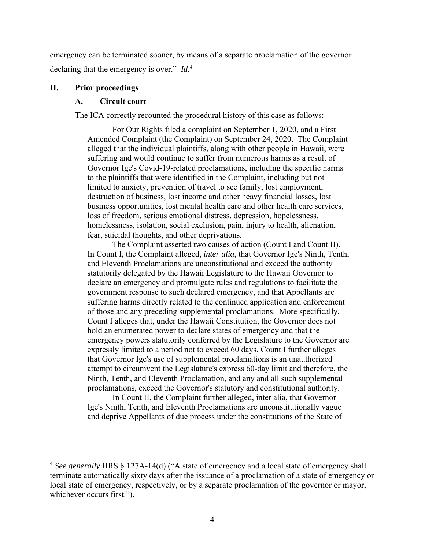emergency can be terminated sooner, by means of a separate proclamation of the governor declaring that the emergency is over." *Id.*<sup>4</sup>

#### **II. Prior proceedings**

#### **A. Circuit court**

The ICA correctly recounted the procedural history of this case as follows:

For Our Rights filed a complaint on September 1, 2020, and a First Amended Complaint (the Complaint) on September 24, 2020. The Complaint alleged that the individual plaintiffs, along with other people in Hawaii, were suffering and would continue to suffer from numerous harms as a result of Governor Ige's Covid-19-related proclamations, including the specific harms to the plaintiffs that were identified in the Complaint, including but not limited to anxiety, prevention of travel to see family, lost employment, destruction of business, lost income and other heavy financial losses, lost business opportunities, lost mental health care and other health care services, loss of freedom, serious emotional distress, depression, hopelessness, homelessness, isolation, social exclusion, pain, injury to health, alienation, fear, suicidal thoughts, and other deprivations.

The Complaint asserted two causes of action (Count I and Count II). In Count I, the Complaint alleged, *inter alia*, that Governor Ige's Ninth, Tenth, and Eleventh Proclamations are unconstitutional and exceed the authority statutorily delegated by the Hawaii Legislature to the Hawaii Governor to declare an emergency and promulgate rules and regulations to facilitate the government response to such declared emergency, and that Appellants are suffering harms directly related to the continued application and enforcement of those and any preceding supplemental proclamations. More specifically, Count I alleges that, under the Hawaii Constitution, the Governor does not hold an enumerated power to declare states of emergency and that the emergency powers statutorily conferred by the Legislature to the Governor are expressly limited to a period not to exceed 60 days. Count I further alleges that Governor Ige's use of supplemental proclamations is an unauthorized attempt to circumvent the Legislature's express 60-day limit and therefore, the Ninth, Tenth, and Eleventh Proclamation, and any and all such supplemental proclamations, exceed the Governor's statutory and constitutional authority.

In Count II, the Complaint further alleged, inter alia, that Governor Ige's Ninth, Tenth, and Eleventh Proclamations are unconstitutionally vague and deprive Appellants of due process under the constitutions of the State of

<sup>4</sup> *See generally* HRS § 127A-14(d) ("A state of emergency and a local state of emergency shall terminate automatically sixty days after the issuance of a proclamation of a state of emergency or local state of emergency, respectively, or by a separate proclamation of the governor or mayor, whichever occurs first.").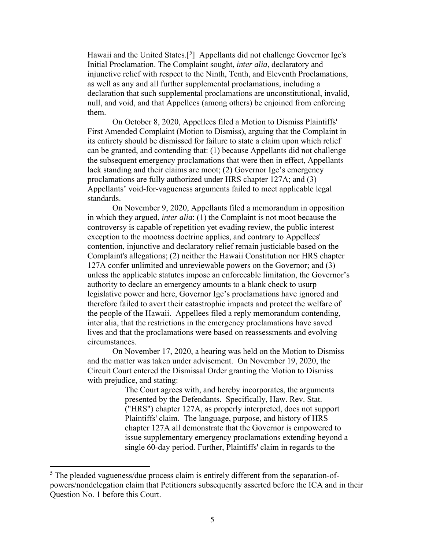Hawaii and the United States.<sup>[5</sup>] Appellants did not challenge Governor Ige's Initial Proclamation. The Complaint sought, *inter alia*, declaratory and injunctive relief with respect to the Ninth, Tenth, and Eleventh Proclamations, as well as any and all further supplemental proclamations, including a declaration that such supplemental proclamations are unconstitutional, invalid, null, and void, and that Appellees (among others) be enjoined from enforcing them.

On October 8, 2020, Appellees filed a Motion to Dismiss Plaintiffs' First Amended Complaint (Motion to Dismiss), arguing that the Complaint in its entirety should be dismissed for failure to state a claim upon which relief can be granted, and contending that: (1) because Appellants did not challenge the subsequent emergency proclamations that were then in effect, Appellants lack standing and their claims are moot; (2) Governor Ige's emergency proclamations are fully authorized under HRS chapter 127A; and (3) Appellants' void-for-vagueness arguments failed to meet applicable legal standards.

On November 9, 2020, Appellants filed a memorandum in opposition in which they argued, *inter alia*: (1) the Complaint is not moot because the controversy is capable of repetition yet evading review, the public interest exception to the mootness doctrine applies, and contrary to Appellees' contention, injunctive and declaratory relief remain justiciable based on the Complaint's allegations; (2) neither the Hawaii Constitution nor HRS chapter 127A confer unlimited and unreviewable powers on the Governor; and (3) unless the applicable statutes impose an enforceable limitation, the Governor's authority to declare an emergency amounts to a blank check to usurp legislative power and here, Governor Ige's proclamations have ignored and therefore failed to avert their catastrophic impacts and protect the welfare of the people of the Hawaii. Appellees filed a reply memorandum contending, inter alia, that the restrictions in the emergency proclamations have saved lives and that the proclamations were based on reassessments and evolving circumstances.

On November 17, 2020, a hearing was held on the Motion to Dismiss and the matter was taken under advisement. On November 19, 2020, the Circuit Court entered the Dismissal Order granting the Motion to Dismiss with prejudice, and stating:

> The Court agrees with, and hereby incorporates, the arguments presented by the Defendants. Specifically, Haw. Rev. Stat. ("HRS") chapter 127A, as properly interpreted, does not support Plaintiffs' claim. The language, purpose, and history of HRS chapter 127A all demonstrate that the Governor is empowered to issue supplementary emergency proclamations extending beyond a single 60-day period. Further, Plaintiffs' claim in regards to the

 $<sup>5</sup>$  The pleaded vagueness/due process claim is entirely different from the separation-of-</sup> powers/nondelegation claim that Petitioners subsequently asserted before the ICA and in their Question No. 1 before this Court.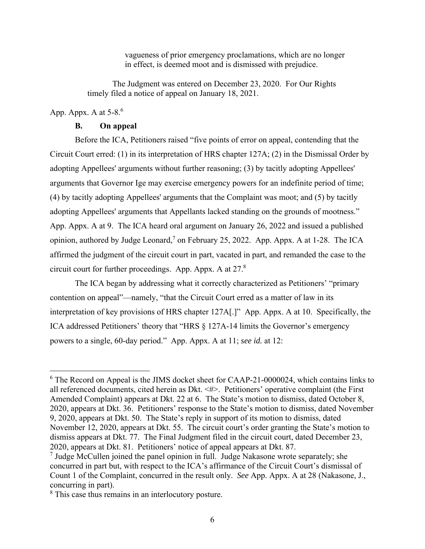vagueness of prior emergency proclamations, which are no longer in effect, is deemed moot and is dismissed with prejudice.

The Judgment was entered on December 23, 2020. For Our Rights timely filed a notice of appeal on January 18, 2021.

# App. Appx. A at  $5-8$ .<sup>6</sup>

#### **B. On appeal**

Before the ICA, Petitioners raised "five points of error on appeal, contending that the Circuit Court erred: (1) in its interpretation of HRS chapter 127A; (2) in the Dismissal Order by adopting Appellees' arguments without further reasoning; (3) by tacitly adopting Appellees' arguments that Governor Ige may exercise emergency powers for an indefinite period of time; (4) by tacitly adopting Appellees' arguments that the Complaint was moot; and (5) by tacitly adopting Appellees' arguments that Appellants lacked standing on the grounds of mootness." App. Appx. A at 9. The ICA heard oral argument on January 26, 2022 and issued a published opinion, authored by Judge Leonard,<sup>7</sup> on February 25, 2022. App. Appx. A at 1-28. The ICA affirmed the judgment of the circuit court in part, vacated in part, and remanded the case to the circuit court for further proceedings. App. Appx. A at  $27.8$ 

The ICA began by addressing what it correctly characterized as Petitioners' "primary contention on appeal"—namely, "that the Circuit Court erred as a matter of law in its interpretation of key provisions of HRS chapter 127A[.]" App. Appx. A at 10. Specifically, the ICA addressed Petitioners' theory that "HRS § 127A-14 limits the Governor's emergency powers to a single, 60-day period." App. Appx. A at 11; *see id.* at 12:

 $6$  The Record on Appeal is the JIMS docket sheet for CAAP-21-0000024, which contains links to all referenced documents, cited herein as Dkt. <#>. Petitioners' operative complaint (the First Amended Complaint) appears at Dkt. 22 at 6. The State's motion to dismiss, dated October 8, 2020, appears at Dkt. 36. Petitioners' response to the State's motion to dismiss, dated November 9, 2020, appears at Dkt. 50. The State's reply in support of its motion to dismiss, dated November 12, 2020, appears at Dkt. 55. The circuit court's order granting the State's motion to dismiss appears at Dkt. 77. The Final Judgment filed in the circuit court, dated December 23, 2020, appears at Dkt. 81. Petitioners' notice of appeal appears at Dkt. 87.

 $<sup>7</sup>$  Judge McCullen joined the panel opinion in full. Judge Nakasone wrote separately; she</sup> concurred in part but, with respect to the ICA's affirmance of the Circuit Court's dismissal of Count 1 of the Complaint, concurred in the result only. *See* App. Appx. A at 28 (Nakasone, J., concurring in part).

<sup>&</sup>lt;sup>8</sup> This case thus remains in an interlocutory posture.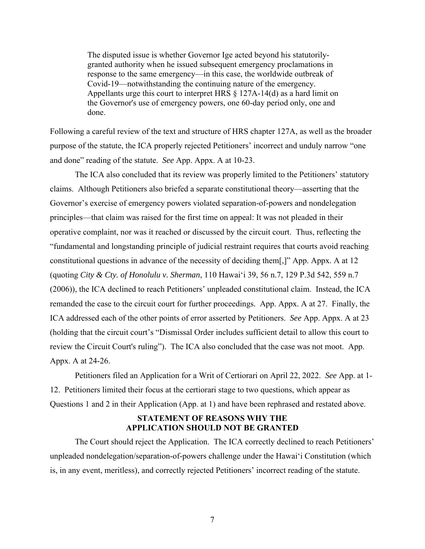The disputed issue is whether Governor Ige acted beyond his statutorilygranted authority when he issued subsequent emergency proclamations in response to the same emergency—in this case, the worldwide outbreak of Covid-19—notwithstanding the continuing nature of the emergency. Appellants urge this court to interpret HRS § 127A-14(d) as a hard limit on the Governor's use of emergency powers, one 60-day period only, one and done.

Following a careful review of the text and structure of HRS chapter 127A, as well as the broader purpose of the statute, the ICA properly rejected Petitioners' incorrect and unduly narrow "one and done" reading of the statute. *See* App. Appx. A at 10-23.

 The ICA also concluded that its review was properly limited to the Petitioners' statutory claims. Although Petitioners also briefed a separate constitutional theory—asserting that the Governor's exercise of emergency powers violated separation-of-powers and nondelegation principles—that claim was raised for the first time on appeal: It was not pleaded in their operative complaint, nor was it reached or discussed by the circuit court. Thus, reflecting the "fundamental and longstanding principle of judicial restraint requires that courts avoid reaching constitutional questions in advance of the necessity of deciding them[,]" App. Appx. A at 12 (quoting *City & Cty. of Honolulu v. Sherman*, 110 Hawai'i 39, 56 n.7, 129 P.3d 542, 559 n.7 (2006)), the ICA declined to reach Petitioners' unpleaded constitutional claim. Instead, the ICA remanded the case to the circuit court for further proceedings. App. Appx. A at 27. Finally, the ICA addressed each of the other points of error asserted by Petitioners. *See* App. Appx. A at 23 (holding that the circuit court's "Dismissal Order includes sufficient detail to allow this court to review the Circuit Court's ruling"). The ICA also concluded that the case was not moot. App. Appx. A at 24-26.

Petitioners filed an Application for a Writ of Certiorari on April 22, 2022. *See* App. at 1- 12. Petitioners limited their focus at the certiorari stage to two questions, which appear as Questions 1 and 2 in their Application (App. at 1) and have been rephrased and restated above.

#### **STATEMENT OF REASONS WHY THE APPLICATION SHOULD NOT BE GRANTED**

The Court should reject the Application. The ICA correctly declined to reach Petitioners' unpleaded nondelegation/separation-of-powers challenge under the Hawai'i Constitution (which is, in any event, meritless), and correctly rejected Petitioners' incorrect reading of the statute.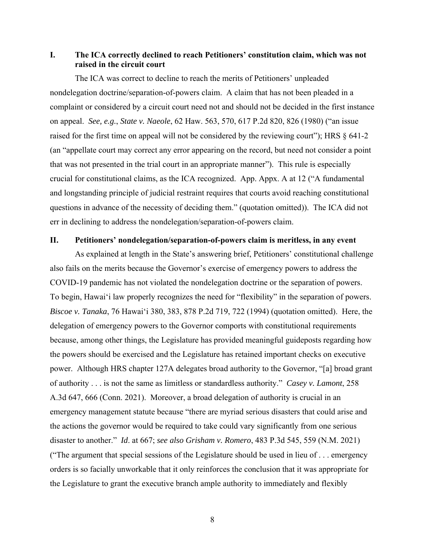## **I. The ICA correctly declined to reach Petitioners' constitution claim, which was not raised in the circuit court**

The ICA was correct to decline to reach the merits of Petitioners' unpleaded nondelegation doctrine/separation-of-powers claim. A claim that has not been pleaded in a complaint or considered by a circuit court need not and should not be decided in the first instance on appeal. *See, e.g.*, *State v. Naeole*, 62 Haw. 563, 570, 617 P.2d 820, 826 (1980) ("an issue raised for the first time on appeal will not be considered by the reviewing court"); HRS § 641-2 (an "appellate court may correct any error appearing on the record, but need not consider a point that was not presented in the trial court in an appropriate manner"). This rule is especially crucial for constitutional claims, as the ICA recognized. App. Appx. A at 12 ("A fundamental and longstanding principle of judicial restraint requires that courts avoid reaching constitutional questions in advance of the necessity of deciding them." (quotation omitted)). The ICA did not err in declining to address the nondelegation/separation-of-powers claim.

### **II. Petitioners' nondelegation/separation-of-powers claim is meritless, in any event**

As explained at length in the State's answering brief, Petitioners' constitutional challenge also fails on the merits because the Governor's exercise of emergency powers to address the COVID-19 pandemic has not violated the nondelegation doctrine or the separation of powers. To begin, Hawai'i law properly recognizes the need for "flexibility" in the separation of powers. *Biscoe v. Tanaka*, 76 Hawai'i 380, 383, 878 P.2d 719, 722 (1994) (quotation omitted). Here, the delegation of emergency powers to the Governor comports with constitutional requirements because, among other things, the Legislature has provided meaningful guideposts regarding how the powers should be exercised and the Legislature has retained important checks on executive power. Although HRS chapter 127A delegates broad authority to the Governor, "[a] broad grant of authority . . . is not the same as limitless or standardless authority." *Casey v. Lamont*, 258 A.3d 647, 666 (Conn. 2021). Moreover, a broad delegation of authority is crucial in an emergency management statute because "there are myriad serious disasters that could arise and the actions the governor would be required to take could vary significantly from one serious disaster to another." *Id*. at 667; *see also Grisham v. Romero*, 483 P.3d 545, 559 (N.M. 2021) ("The argument that special sessions of the Legislature should be used in lieu of . . . emergency orders is so facially unworkable that it only reinforces the conclusion that it was appropriate for the Legislature to grant the executive branch ample authority to immediately and flexibly

8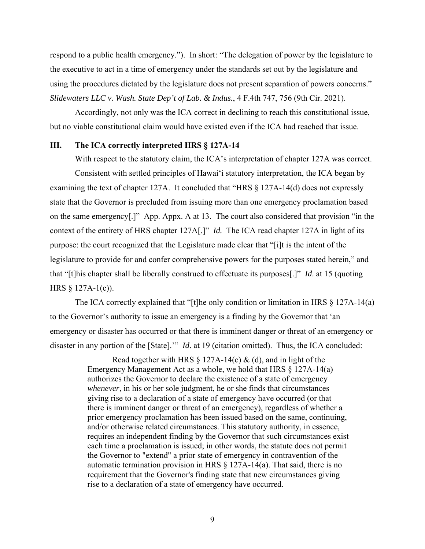respond to a public health emergency."). In short: "The delegation of power by the legislature to the executive to act in a time of emergency under the standards set out by the legislature and using the procedures dictated by the legislature does not present separation of powers concerns." *Slidewaters LLC v. Wash. State Dep't of Lab. & Indus.*, 4 F.4th 747, 756 (9th Cir. 2021).

Accordingly, not only was the ICA correct in declining to reach this constitutional issue, but no viable constitutional claim would have existed even if the ICA had reached that issue.

### **III. The ICA correctly interpreted HRS § 127A-14**

With respect to the statutory claim, the ICA's interpretation of chapter 127A was correct. Consistent with settled principles of Hawai'i statutory interpretation, the ICA began by examining the text of chapter 127A. It concluded that "HRS § 127A-14(d) does not expressly state that the Governor is precluded from issuing more than one emergency proclamation based on the same emergency[.]" App. Appx. A at 13. The court also considered that provision "in the context of the entirety of HRS chapter 127A[.]" *Id.* The ICA read chapter 127A in light of its purpose: the court recognized that the Legislature made clear that "[i]t is the intent of the legislature to provide for and confer comprehensive powers for the purposes stated herein," and that "[t]his chapter shall be liberally construed to effectuate its purposes[.]" *Id*. at 15 (quoting HRS § 127A-1(c)).

The ICA correctly explained that "[t]he only condition or limitation in HRS  $\S$  127A-14(a) to the Governor's authority to issue an emergency is a finding by the Governor that 'an emergency or disaster has occurred or that there is imminent danger or threat of an emergency or disaster in any portion of the [State].'" *Id*. at 19 (citation omitted). Thus, the ICA concluded:

> Read together with HRS  $\S$  127A-14(c) & (d), and in light of the Emergency Management Act as a whole, we hold that HRS § 127A-14(a) authorizes the Governor to declare the existence of a state of emergency *whenever*, in his or her sole judgment, he or she finds that circumstances giving rise to a declaration of a state of emergency have occurred (or that there is imminent danger or threat of an emergency), regardless of whether a prior emergency proclamation has been issued based on the same, continuing, and/or otherwise related circumstances. This statutory authority, in essence, requires an independent finding by the Governor that such circumstances exist each time a proclamation is issued; in other words, the statute does not permit the Governor to "extend" a prior state of emergency in contravention of the automatic termination provision in HRS § 127A-14(a). That said, there is no requirement that the Governor's finding state that new circumstances giving rise to a declaration of a state of emergency have occurred.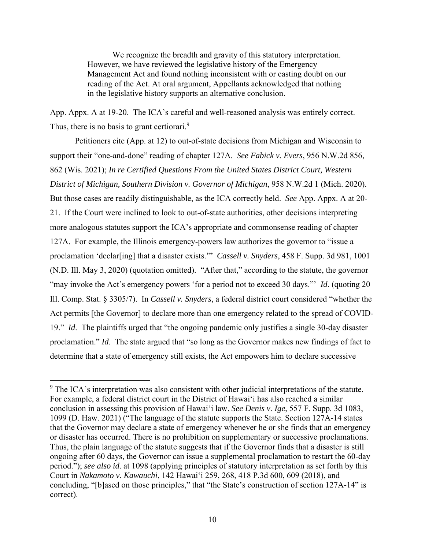We recognize the breadth and gravity of this statutory interpretation. However, we have reviewed the legislative history of the Emergency Management Act and found nothing inconsistent with or casting doubt on our reading of the Act. At oral argument, Appellants acknowledged that nothing in the legislative history supports an alternative conclusion.

App. Appx. A at 19-20. The ICA's careful and well-reasoned analysis was entirely correct. Thus, there is no basis to grant certiorari.<sup>9</sup>

Petitioners cite (App. at 12) to out-of-state decisions from Michigan and Wisconsin to support their "one-and-done" reading of chapter 127A. *See Fabick v. Evers*, 956 N.W.2d 856, 862 (Wis. 2021); *In re Certified Questions From the United States District Court, Western District of Michigan, Southern Division v. Governor of Michigan*, 958 N.W.2d 1 (Mich. 2020). But those cases are readily distinguishable, as the ICA correctly held. *See* App. Appx. A at 20- 21. If the Court were inclined to look to out-of-state authorities, other decisions interpreting more analogous statutes support the ICA's appropriate and commonsense reading of chapter 127A. For example, the Illinois emergency-powers law authorizes the governor to "issue a proclamation 'declar[ing] that a disaster exists.'" *Cassell v. Snyders*, 458 F. Supp. 3d 981, 1001 (N.D. Ill. May 3, 2020) (quotation omitted). "After that," according to the statute, the governor "may invoke the Act's emergency powers 'for a period not to exceed 30 days."' *Id*. (quoting 20 Ill. Comp. Stat. § 3305/7). In *Cassell v. Snyders*, a federal district court considered "whether the Act permits [the Governor] to declare more than one emergency related to the spread of COVID-19." *Id*. The plaintiffs urged that "the ongoing pandemic only justifies a single 30-day disaster proclamation." *Id*. The state argued that "so long as the Governor makes new findings of fact to determine that a state of emergency still exists, the Act empowers him to declare successive

 $9$  The ICA's interpretation was also consistent with other judicial interpretations of the statute. For example, a federal district court in the District of Hawai'i has also reached a similar conclusion in assessing this provision of Hawai'i law. *See Denis v. Ige*, 557 F. Supp. 3d 1083, 1099 (D. Haw. 2021) ("The language of the statute supports the State. Section 127A-14 states that the Governor may declare a state of emergency whenever he or she finds that an emergency or disaster has occurred. There is no prohibition on supplementary or successive proclamations. Thus, the plain language of the statute suggests that if the Governor finds that a disaster is still ongoing after 60 days, the Governor can issue a supplemental proclamation to restart the 60-day period."); *see also id*. at 1098 (applying principles of statutory interpretation as set forth by this Court in *Nakamoto v. Kawauchi*, 142 Hawai'i 259, 268, 418 P.3d 600, 609 (2018), and concluding, "[b]ased on those principles," that "the State's construction of section 127A-14" is correct).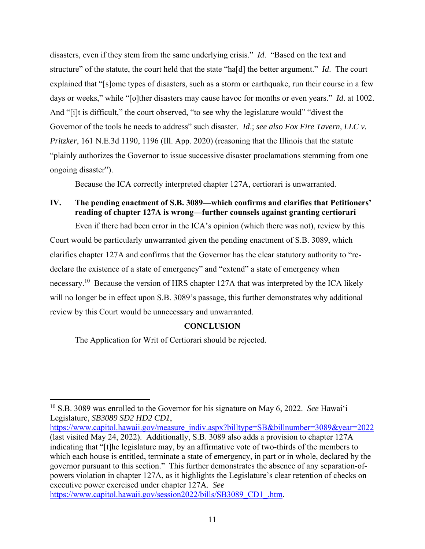disasters, even if they stem from the same underlying crisis." *Id*. "Based on the text and structure" of the statute, the court held that the state "ha[d] the better argument." *Id*. The court explained that "[s]ome types of disasters, such as a storm or earthquake, run their course in a few days or weeks," while "[o]ther disasters may cause havoc for months or even years." *Id*. at 1002. And "[i]t is difficult," the court observed, "to see why the legislature would" "divest the Governor of the tools he needs to address" such disaster. *Id*.; *see also Fox Fire Tavern, LLC v. Pritzker*, 161 N.E.3d 1190, 1196 (Ill. App. 2020) (reasoning that the Illinois that the statute "plainly authorizes the Governor to issue successive disaster proclamations stemming from one ongoing disaster").

Because the ICA correctly interpreted chapter 127A, certiorari is unwarranted.

# **IV. The pending enactment of S.B. 3089—which confirms and clarifies that Petitioners' reading of chapter 127A is wrong—further counsels against granting certiorari**

Even if there had been error in the ICA's opinion (which there was not), review by this Court would be particularly unwarranted given the pending enactment of S.B. 3089, which clarifies chapter 127A and confirms that the Governor has the clear statutory authority to "redeclare the existence of a state of emergency" and "extend" a state of emergency when necessary.<sup>10</sup> Because the version of HRS chapter 127A that was interpreted by the ICA likely will no longer be in effect upon S.B. 3089's passage, this further demonstrates why additional review by this Court would be unnecessary and unwarranted.

## **CONCLUSION**

The Application for Writ of Certiorari should be rejected.

https://www.capitol.hawaii.gov/measure\_indiv.aspx?billtype=SB&billnumber=3089&year=2022 (last visited May 24, 2022). Additionally, S.B. 3089 also adds a provision to chapter 127A indicating that "[t]he legislature may, by an affirmative vote of two-thirds of the members to which each house is entitled, terminate a state of emergency, in part or in whole, declared by the governor pursuant to this section." This further demonstrates the absence of any separation-ofpowers violation in chapter 127A, as it highlights the Legislature's clear retention of checks on executive power exercised under chapter 127A. *See* https://www.capitol.hawaii.gov/session2022/bills/SB3089\_CD1\_.htm.

<sup>10</sup> S.B. 3089 was enrolled to the Governor for his signature on May 6, 2022. *See* Hawai'i Legislature, *SB3089 SD2 HD2 CD1*,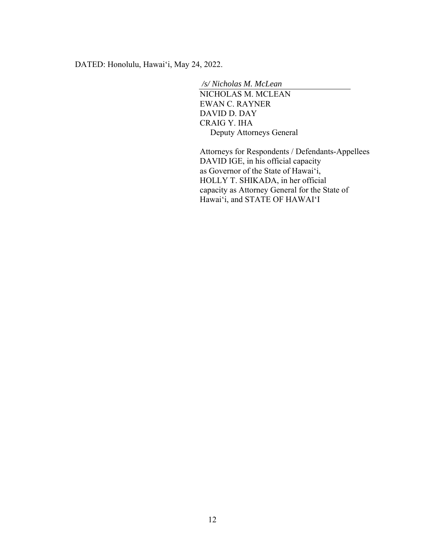DATED: Honolulu, Hawai'i, May 24, 2022.

 */s/ Nicholas M. McLean* 

NICHOLAS M. MCLEAN EWAN C. RAYNER DAVID D. DAY CRAIG Y. IHA Deputy Attorneys General

Attorneys for Respondents / Defendants-Appellees DAVID IGE, in his official capacity as Governor of the State of Hawai'i, HOLLY T. SHIKADA, in her official capacity as Attorney General for the State of Hawai'i, and STATE OF HAWAI'I